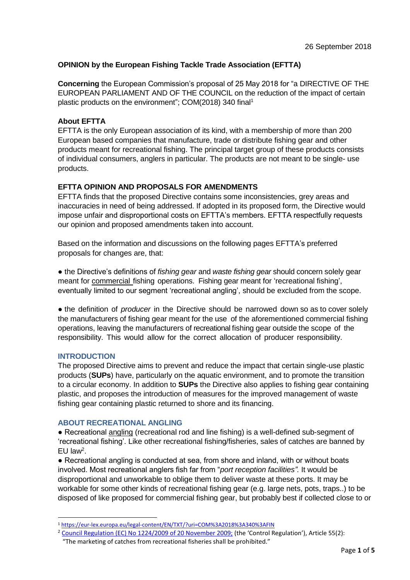## **OPINION by the European Fishing Tackle Trade Association (EFTTA)**

**Concerning** the European Commission's proposal of 25 May 2018 for "a DIRECTIVE OF THE EUROPEAN PARLIAMENT AND OF THE COUNCIL on the reduction of the impact of certain plastic products on the environment"; COM(2018) 340 final<sup>1</sup>

#### **About EFTTA**

EFTTA is the only European association of its kind, with a membership of more than 200 European based companies that manufacture, trade or distribute fishing gear and other products meant for recreational fishing. The principal target group of these products consists of individual consumers, anglers in particular. The products are not meant to be single- use products.

## **EFTTA OPINION AND PROPOSALS FOR AMENDMENTS**

EFTTA finds that the proposed Directive contains some inconsistencies, grey areas and inaccuracies in need of being addressed. If adopted in its proposed form, the Directive would impose unfair and disproportional costs on EFTTA's members. EFTTA respectfully requests our opinion and proposed amendments taken into account.

Based on the information and discussions on the following pages EFTTA's preferred proposals for changes are, that:

● the Directive's definitions of *fishing gear* and *waste fishing gear* should concern solely gear meant for commercial fishing operations. Fishing gear meant for 'recreational fishing', eventually limited to our segment 'recreational angling', should be excluded from the scope.

• the definition of *producer* in the Directive should be narrowed down so as to cover solely the manufacturers of fishing gear meant for the use of the aforementioned commercial fishing operations, leaving the manufacturers of recreational fishing gear outside the scope of the responsibility. This would allow for the correct allocation of producer responsibility.

#### **INTRODUCTION**

The proposed Directive aims to prevent and reduce the impact that certain single-use plastic products (**SUPs**) have, particularly on the aquatic environment, and to promote the transition to a circular economy. In addition to **SUPs** the Directive also applies to fishing gear containing plastic, and proposes the introduction of measures for the improved management of waste fishing gear containing plastic returned to shore and its financing.

#### **ABOUT RECREATIONAL ANGLING**

● Recreational angling (recreational rod and line fishing) is a well-defined sub-segment of 'recreational fishing'. Like other recreational fishing/fisheries, sales of catches are banned by EU law<sup>2</sup>.

• Recreational angling is conducted at sea, from shore and inland, with or without boats involved. Most recreational anglers fish far from "*port reception facilities".* It would be disproportional and unworkable to oblige them to deliver waste at these ports. It may be workable for some other kinds of recreational fishing gear (e.g. large nets, pots, traps..) to be disposed of like proposed for commercial fishing gear, but probably best if collected close to or

 $\overline{\phantom{a}}$ <sup>1</sup> <https://eur-lex.europa.eu/legal-content/EN/TXT/?uri=COM%3A2018%3A340%3AFIN>

<sup>2</sup> [Council Regulation \(EC\) No 1224/2009 of 20 November 2009;](https://eur-lex.europa.eu/legal-content/EN/ALL/?uri=celex%3A32009R1224) (the 'Control Regulation'), Article 55(2):

"The marketing of catches from recreational fisheries shall be prohibited."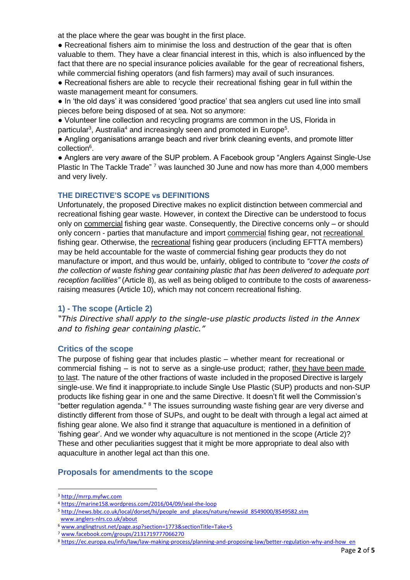at the place where the gear was bought in the first place.

• Recreational fishers aim to minimise the loss and destruction of the gear that is often valuable to them. They have a clear financial interest in this, which is also influenced by the fact that there are no special insurance policies available for the gear of recreational fishers, while commercial fishing operators (and fish farmers) may avail of such insurances.

- Recreational fishers are able to recycle their recreational fishing gear in full within the waste management meant for consumers.
- In 'the old days' it was considered 'good practice' that sea anglers cut used line into small pieces before being disposed of at sea. Not so anymore:
- Volunteer line collection and recycling programs are common in the US, Florida in
- particular<sup>3</sup>, Australia<sup>4</sup> and increasingly seen and promoted in Europe<sup>5</sup>.

● Angling organisations arrange beach and river brink cleaning events, and promote litter collection<sup>6</sup>.

● Anglers are very aware of the SUP problem. A Facebook group "Anglers Against Single-Use Plastic In The Tackle Trade"<sup>7</sup> was launched 30 June and now has more than 4,000 members and very lively.

#### **THE DIRECTIVE'S SCOPE vs DEFINITIONS**

Unfortunately, the proposed Directive makes no explicit distinction between commercial and recreational fishing gear waste. However, in context the Directive can be understood to focus only on commercial fishing gear waste. Consequently, the Directive concerns only – or should only concern - parties that manufacture and import commercial fishing gear, not recreational fishing gear. Otherwise, the recreational fishing gear producers (including EFTTA members) may be held accountable for the waste of commercial fishing gear products they do not manufacture or import, and thus would be, unfairly, obliged to contribute to *"cover the costs of the collection of waste fishing gear containing plastic that has been delivered to adequate port reception facilities"* (Article 8), as well as being obliged to contribute to the costs of awarenessraising measures (Article 10), which may not concern recreational fishing.

## **1) - The scope (Article 2)**

*"This Directive shall apply to the single-use plastic products listed in the Annex and to fishing gear containing plastic."*

#### **Critics of the scope**

The purpose of fishing gear that includes plastic – whether meant for recreational or commercial fishing – is not to serve as a single-use product; rather, they have been made to last. The nature of the other fractions of waste included in the proposed Directive is largely single-use. We find it inappropriate.to include Single Use Plastic (SUP) products and non-SUP products like fishing gear in one and the same Directive. It doesn't fit well the Commission's "better regulation agenda." <sup>8</sup> The issues surrounding waste fishing gear are very diverse and distinctly different from those of SUPs, and ought to be dealt with through a legal act aimed at fishing gear alone. We also find it strange that aquaculture is mentioned in a definition of 'fishing gear'. And we wonder why aquaculture is not mentioned in the scope (Article 2)? These and other peculiarities suggest that it might be more appropriate to deal also with aquaculture in another legal act than this one.

#### **Proposals for amendments to the scope**

 $\overline{a}$ <sup>3</sup> [http://mrrp.myfwc.com](http://mrrp.myfwc.com/)

<sup>4</sup> [https://marine158.wordpress.com/2016/04/09/seal-the-loop](https://marine158.wordpress.com/2016/04/09/seal-the-loop/)

<sup>5</sup> [http://news.bbc.co.uk/local/dorset/hi/people\\_and\\_places/nature/newsid\\_8549000/8549582.stm](http://news.bbc.co.uk/local/dorset/hi/people_and_places/nature/newsid_8549000/8549582.stm)  [www.anglers-nlrs.co.uk/about](http://www.anglers-nlrs.co.uk/about)

<sup>6</sup> [www.anglingtrust.net/page.asp?section=1773&sectionTitle=Take+5](http://www.anglingtrust.net/page.asp?section=1773§ionTitle=Take+5)

<sup>7</sup> [www.facebook.com/groups/2131719777066270](http://www.facebook.com/groups/2131719777066270)

<sup>8</sup> [https://ec.europa.eu/info/law/law-making-process/planning-and-proposing-law/better-regulation-why-and-how\\_en](https://ec.europa.eu/info/law/law-making-process/planning-and-proposing-law/better-regulation-why-and-how_en)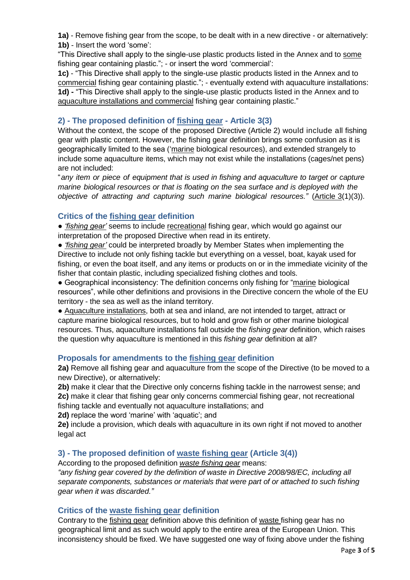**1a)** - Remove fishing gear from the scope, to be dealt with in a new directive - or alternatively: **1b)** - Insert the word 'some':

"This Directive shall apply to the single-use plastic products listed in the Annex and to some fishing gear containing plastic."; - or insert the word 'commercial':

**1c)** - "This Directive shall apply to the single-use plastic products listed in the Annex and to commercial fishing gear containing plastic."; - eventually extend with aquaculture installations: **1d) -** "This Directive shall apply to the single-use plastic products listed in the Annex and to aquaculture installations and commercial fishing gear containing plastic."

# **2) - The proposed definition of fishing gear - Article 3(3)**

Without the context, the scope of the proposed Directive (Article 2) would include all fishing gear with plastic content. However, the fishing gear definition brings some confusion as it is geographically limited to the sea ('marine biological resources), and extended strangely to include some aquaculture items, which may not exist while the installations (cages/net pens) are not included:

"*any item or piece of equipment that is used in fishing and aquaculture to target or capture marine biological resources or that is floating on the sea surface and is deployed with the objective of attracting and capturing such marine biological resources."* (Article 3(1)(3)).

## **Critics of the fishing gear definition**

● *'fishing gear'* seems to include recreational fishing gear, which would go against our interpretation of the proposed Directive when read in its entirety.

● *'fishing gear'* could be interpreted broadly by Member States when implementing the Directive to include not only fishing tackle but everything on a vessel, boat, kayak used for fishing, or even the boat itself, and any items or products on or in the immediate vicinity of the fisher that contain plastic, including specialized fishing clothes and tools.

● Geographical inconsistency: The definition concerns only fishing for "marine biological resources", while other definitions and provisions in the Directive concern the whole of the EU territory - the sea as well as the inland territory.

● Aquaculture installations, both at sea and inland, are not intended to target, attract or capture marine biological resources, but to hold and grow fish or other marine biological resources. Thus, aquaculture installations fall outside the *fishing gear* definition, which raises the question why aquaculture is mentioned in this *fishing gear* definition at all?

## **Proposals for amendments to the fishing gear definition**

**2a)** Remove all fishing gear and aquaculture from the scope of the Directive (to be moved to a new Directive), or alternatively:

**2b)** make it clear that the Directive only concerns fishing tackle in the narrowest sense; and **2c)** make it clear that fishing gear only concerns commercial fishing gear, not recreational fishing tackle and eventually not aquaculture installations; and

**2d)** replace the word 'marine' with 'aquatic'; and

**2e)** include a provision, which deals with aquaculture in its own right if not moved to another legal act

## **3) - The proposed definition of waste fishing gear (Article 3(4))**

According to the proposed definition *waste fishing gear* means:

*"any fishing gear covered by the definition of waste in Directive 2008/98/EC, including all separate components, substances or materials that were part of or attached to such fishing gear when it was discarded."*

## **Critics of the waste fishing gear definition**

Contrary to the fishing gear definition above this definition of waste fishing gear has no geographical limit and as such would apply to the entire area of the European Union. This inconsistency should be fixed. We have suggested one way of fixing above under the fishing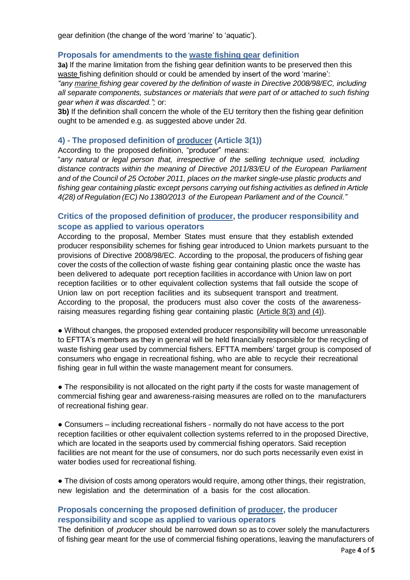gear definition (the change of the word 'marine' to 'aquatic').

#### **Proposals for amendments to the waste fishing gear definition**

**3a)** If the marine limitation from the fishing gear definition wants to be preserved then this waste fishing definition should or could be amended by insert of the word 'marine':

*"any marine fishing gear covered by the definition of waste in Directive 2008/98/EC, including all separate components, substances or materials that were part of or attached to such fishing gear when it was discarded.";* or:

**3b)** If the definition shall concern the whole of the EU territory then the fishing gear definition ought to be amended e.g. as suggested above under 2d.

#### **4) - The proposed definition of producer (Article 3(1))**

According to the proposed definition, "producer" means:

"*any natural or legal person that, irrespective of the selling technique used, including distance contracts within the meaning of Directive 2011/83/EU of the European Parliament and of the Council of 25 October 2011, places on the market single-use plastic products and fishing gear containing plastic except persons carrying out fishing activities as defined in Article 4(28) of Regulation (EC) No 1380/2013 of the European Parliament and of the Council."*

## **Critics of the proposed definition of producer, the producer responsibility and scope as applied to various operators**

According to the proposal, Member States must ensure that they establish extended producer responsibility schemes for fishing gear introduced to Union markets pursuant to the provisions of Directive 2008/98/EC. According to the proposal, the producers of fishing gear cover the costs of the collection of waste fishing gear containing plastic once the waste has been delivered to adequate port reception facilities in accordance with Union law on port reception facilities or to other equivalent collection systems that fall outside the scope of Union law on port reception facilities and its subsequent transport and treatment. According to the proposal, the producers must also cover the costs of the awarenessraising measures regarding fishing gear containing plastic (Article 8(3) and (4)).

● Without changes, the proposed extended producer responsibility will become unreasonable to EFTTA's members as they in general will be held financially responsible for the recycling of waste fishing gear used by commercial fishers. EFTTA members' target group is composed of consumers who engage in recreational fishing, who are able to recycle their recreational fishing gear in full within the waste management meant for consumers.

• The responsibility is not allocated on the right party if the costs for waste management of commercial fishing gear and awareness-raising measures are rolled on to the manufacturers of recreational fishing gear.

● Consumers – including recreational fishers - normally do not have access to the port reception facilities or other equivalent collection systems referred to in the proposed Directive, which are located in the seaports used by commercial fishing operators. Said reception facilities are not meant for the use of consumers, nor do such ports necessarily even exist in water bodies used for recreational fishing.

• The division of costs among operators would require, among other things, their registration, new legislation and the determination of a basis for the cost allocation.

# **Proposals concerning the proposed definition of producer, the producer responsibility and scope as applied to various operators**

The definition of *producer* should be narrowed down so as to cover solely the manufacturers of fishing gear meant for the use of commercial fishing operations, leaving the manufacturers of